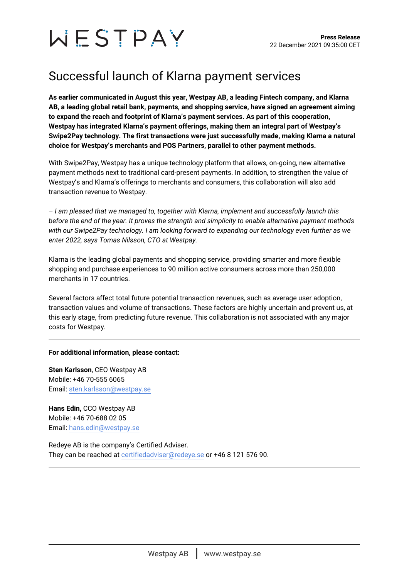# WESTPAY

# Successful launch of Klarna payment services

**As earlier communicated in August this year, Westpay AB, a leading Fintech company, and Klarna AB, a leading global retail bank, payments, and shopping service, have signed an agreement aiming to expand the reach and footprint of Klarna's payment services. As part of this cooperation, Westpay has integrated Klarna's payment offerings, making them an integral part of Westpay's Swipe2Pay technology. The first transactions were just successfully made, making Klarna a natural choice for Westpay's merchants and POS Partners, parallel to other payment methods.**

With Swipe2Pay, Westpay has a unique technology platform that allows, on-going, new alternative payment methods next to traditional card-present payments. In addition, to strengthen the value of Westpay's and Klarna's offerings to merchants and consumers, this collaboration will also add transaction revenue to Westpay.

*– I am pleased that we managed to, together with Klarna, implement and successfully launch this before the end of the year. It proves the strength and simplicity to enable alternative payment methods with our Swipe2Pay technology. I am looking forward to expanding our technology even further as we enter 2022, says Tomas Nilsson, CTO at Westpay.*

Klarna is the leading global payments and shopping service, providing smarter and more flexible shopping and purchase experiences to 90 million active consumers across more than 250,000 merchants in 17 countries.

Several factors affect total future potential transaction revenues, such as average user adoption, transaction values and volume of transactions. These factors are highly uncertain and prevent us, at this early stage, from predicting future revenue. This collaboration is not associated with any major costs for Westpay.

## **For additional information, please contact:**

**Sten Karlsson**, CEO Westpay AB Mobile: +46 70-555 6065 Email: [sten.karlsson@westpay.se](mailto:sten.karlsson@westpay.se)

**Hans Edin,** CCO Westpay AB Mobile: +46 70-688 02 05 Email: [hans.edin@westpay.se](mailto:hans.edin@westpay.se)

Redeye AB is the company's Certified Adviser. They can be reached at [certifiedadviser@redeye.se](mailto:certifiedadviser@redeye.se) or +46 8 121 576 90.